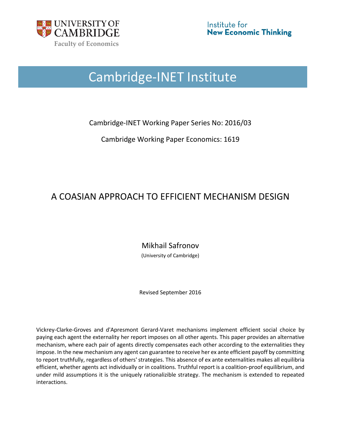

# Cambridge-INET Institute

Cambridge-INET Working Paper Series No: 2016/03

Cambridge Working Paper Economics: 1619

# A COASIAN APPROACH TO EFFICIENT MECHANISM DESIGN

Mikhail Safronov

(University of Cambridge)

Revised September 2016

Vickrey-Clarke-Groves and d'Apresmont Gerard-Varet mechanisms implement efficient social choice by paying each agent the externality her report imposes on all other agents. This paper provides an alternative mechanism, where each pair of agents directly compensates each other according to the externalities they impose. In the new mechanism any agent can guarantee to receive her ex ante efficient payoff by committing to report truthfully, regardless of others' strategies. This absence of ex ante externalities makes all equilibria efficient, whether agents act individually or in coalitions. Truthful report is a coalition-proof equilibrium, and under mild assumptions it is the uniquely rationalizible strategy. The mechanism is extended to repeated interactions.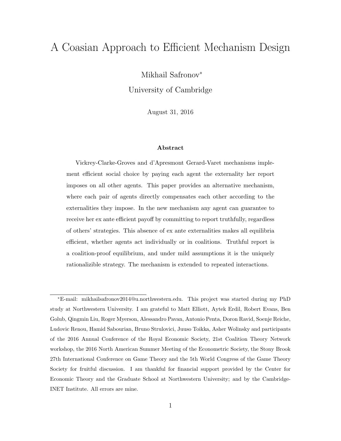# A Coasian Approach to Efficient Mechanism Design

Mikhail Safronov<sup>∗</sup>

University of Cambridge

August 31, 2016

#### Abstract

Vickrey-Clarke-Groves and d'Apresmont Gerard-Varet mechanisms implement efficient social choice by paying each agent the externality her report imposes on all other agents. This paper provides an alternative mechanism, where each pair of agents directly compensates each other according to the externalities they impose. In the new mechanism any agent can guarantee to receive her ex ante efficient payoff by committing to report truthfully, regardless of others' strategies. This absence of ex ante externalities makes all equilibria efficient, whether agents act individually or in coalitions. Truthful report is a coalition-proof equilibrium, and under mild assumptions it is the uniquely rationalizible strategy. The mechanism is extended to repeated interactions.

<sup>∗</sup>E-mail: mikhailsafronov2014@u.northwestern.edu. This project was started during my PhD study at Northwestern University. I am grateful to Matt Elliott, Aytek Erdil, Robert Evans, Ben Golub, Qingmin Liu, Roger Myerson, Alessandro Pavan, Antonio Penta, Doron Ravid, Soenje Reiche, Ludovic Renou, Hamid Sabourian, Bruno Strulovici, Juuso Toikka, Asher Wolinsky and participants of the 2016 Annual Conference of the Royal Economic Society, 21st Coalition Theory Network workshop, the 2016 North American Summer Meeting of the Econometric Society, the Stony Brook 27th International Conference on Game Theory and the 5th World Congress of the Game Theory Society for fruitful discussion. I am thankful for financial support provided by the Center for Economic Theory and the Graduate School at Northwestern University; and by the Cambridge-INET Institute. All errors are mine.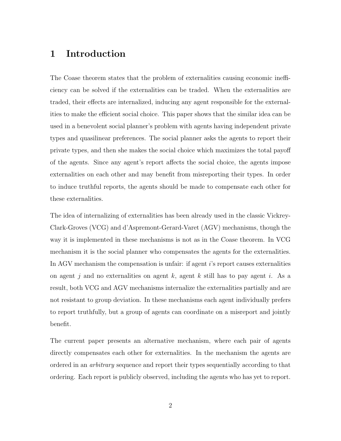# 1 Introduction

The Coase theorem states that the problem of externalities causing economic inefficiency can be solved if the externalities can be traded. When the externalities are traded, their effects are internalized, inducing any agent responsible for the externalities to make the efficient social choice. This paper shows that the similar idea can be used in a benevolent social planner's problem with agents having independent private types and quasilinear preferences. The social planner asks the agents to report their private types, and then she makes the social choice which maximizes the total payoff of the agents. Since any agent's report affects the social choice, the agents impose externalities on each other and may benefit from misreporting their types. In order to induce truthful reports, the agents should be made to compensate each other for these externalities.

The idea of internalizing of externalities has been already used in the classic Vickrey-Clark-Groves (VCG) and d'Aspremont-Gerard-Varet (AGV) mechanisms, though the way it is implemented in these mechanisms is not as in the Coase theorem. In VCG mechanism it is the social planner who compensates the agents for the externalities. In AGV mechanism the compensation is unfair: if agent i's report causes externalities on agent j and no externalities on agent k, agent k still has to pay agent i. As a result, both VCG and AGV mechanisms internalize the externalities partially and are not resistant to group deviation. In these mechanisms each agent individually prefers to report truthfully, but a group of agents can coordinate on a misreport and jointly benefit.

The current paper presents an alternative mechanism, where each pair of agents directly compensates each other for externalities. In the mechanism the agents are ordered in an arbitrary sequence and report their types sequentially according to that ordering. Each report is publicly observed, including the agents who has yet to report.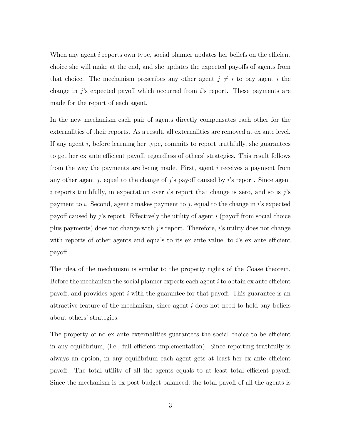When any agent  $i$  reports own type, social planner updates her beliefs on the efficient choice she will make at the end, and she updates the expected payoffs of agents from that choice. The mechanism prescribes any other agent  $j \neq i$  to pay agent i the change in  $j$ 's expected payoff which occurred from  $i$ 's report. These payments are made for the report of each agent.

In the new mechanism each pair of agents directly compensates each other for the externalities of their reports. As a result, all externalities are removed at ex ante level. If any agent  $i$ , before learning her type, commits to report truthfully, she guarantees to get her ex ante efficient payoff, regardless of others' strategies. This result follows from the way the payments are being made. First, agent i receives a payment from any other agent j, equal to the change of j's payoff caused by  $i$ 's report. Since agent i reports truthfully, in expectation over i's report that change is zero, and so is  $j$ 's payment to i. Second, agent i makes payment to j, equal to the change in i's expected payoff caused by j's report. Effectively the utility of agent  $i$  (payoff from social choice plus payments) does not change with  $j$ 's report. Therefore,  $i$ 's utility does not change with reports of other agents and equals to its ex ante value, to  $i$ 's ex ante efficient payoff.

The idea of the mechanism is similar to the property rights of the Coase theorem. Before the mechanism the social planner expects each agent  $i$  to obtain ex ante efficient payoff, and provides agent i with the guarantee for that payoff. This guarantee is an attractive feature of the mechanism, since agent i does not need to hold any beliefs about others' strategies.

The property of no ex ante externalities guarantees the social choice to be efficient in any equilibrium, (i.e., full efficient implementation). Since reporting truthfully is always an option, in any equilibrium each agent gets at least her ex ante efficient payoff. The total utility of all the agents equals to at least total efficient payoff. Since the mechanism is ex post budget balanced, the total payoff of all the agents is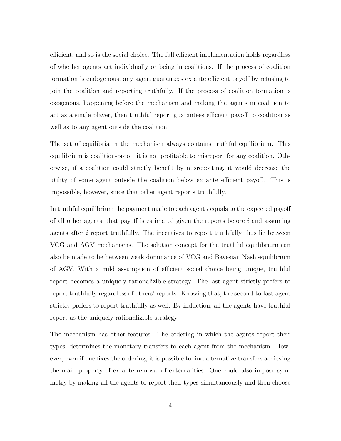efficient, and so is the social choice. The full efficient implementation holds regardless of whether agents act individually or being in coalitions. If the process of coalition formation is endogenous, any agent guarantees ex ante efficient payoff by refusing to join the coalition and reporting truthfully. If the process of coalition formation is exogenous, happening before the mechanism and making the agents in coalition to act as a single player, then truthful report guarantees efficient payoff to coalition as well as to any agent outside the coalition.

The set of equilibria in the mechanism always contains truthful equilibrium. This equilibrium is coalition-proof: it is not profitable to misreport for any coalition. Otherwise, if a coalition could strictly benefit by misreporting, it would decrease the utility of some agent outside the coalition below ex ante efficient payoff. This is impossible, however, since that other agent reports truthfully.

In truthful equilibrium the payment made to each agent i equals to the expected payoff of all other agents; that payoff is estimated given the reports before  $i$  and assuming agents after  $i$  report truthfully. The incentives to report truthfully thus lie between VCG and AGV mechanisms. The solution concept for the truthful equilibrium can also be made to lie between weak dominance of VCG and Bayesian Nash equilibrium of AGV. With a mild assumption of efficient social choice being unique, truthful report becomes a uniquely rationalizible strategy. The last agent strictly prefers to report truthfully regardless of others' reports. Knowing that, the second-to-last agent strictly prefers to report truthfully as well. By induction, all the agents have truthful report as the uniquely rationalizible strategy.

The mechanism has other features. The ordering in which the agents report their types, determines the monetary transfers to each agent from the mechanism. However, even if one fixes the ordering, it is possible to find alternative transfers achieving the main property of ex ante removal of externalities. One could also impose symmetry by making all the agents to report their types simultaneously and then choose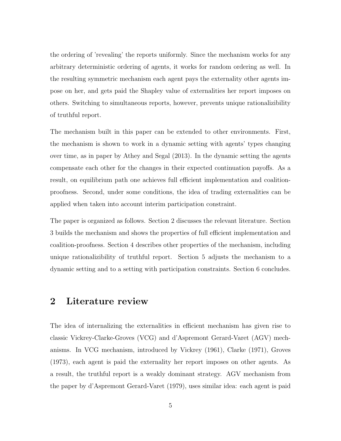the ordering of 'revealing' the reports uniformly. Since the mechanism works for any arbitrary deterministic ordering of agents, it works for random ordering as well. In the resulting symmetric mechanism each agent pays the externality other agents impose on her, and gets paid the Shapley value of externalities her report imposes on others. Switching to simultaneous reports, however, prevents unique rationalizibility of truthful report.

The mechanism built in this paper can be extended to other environments. First, the mechanism is shown to work in a dynamic setting with agents' types changing over time, as in paper by Athey and Segal (2013). In the dynamic setting the agents compensate each other for the changes in their expected continuation payoffs. As a result, on equilibrium path one achieves full efficient implementation and coalitionproofness. Second, under some conditions, the idea of trading externalities can be applied when taken into account interim participation constraint.

The paper is organized as follows. Section 2 discusses the relevant literature. Section 3 builds the mechanism and shows the properties of full efficient implementation and coalition-proofness. Section 4 describes other properties of the mechanism, including unique rationalizibility of truthful report. Section 5 adjusts the mechanism to a dynamic setting and to a setting with participation constraints. Section 6 concludes.

## 2 Literature review

The idea of internalizing the externalities in efficient mechanism has given rise to classic Vickrey-Clarke-Groves (VCG) and d'Aspremont Gerard-Varet (AGV) mechanisms. In VCG mechanism, introduced by Vickrey (1961), Clarke (1971), Groves (1973), each agent is paid the externality her report imposes on other agents. As a result, the truthful report is a weakly dominant strategy. AGV mechanism from the paper by d'Aspremont Gerard-Varet (1979), uses similar idea: each agent is paid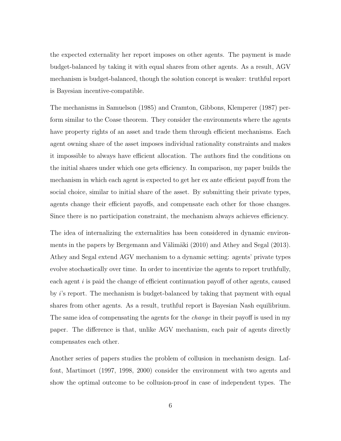the expected externality her report imposes on other agents. The payment is made budget-balanced by taking it with equal shares from other agents. As a result, AGV mechanism is budget-balanced, though the solution concept is weaker: truthful report is Bayesian incentive-compatible.

The mechanisms in Samuelson (1985) and Cramton, Gibbons, Klemperer (1987) perform similar to the Coase theorem. They consider the environments where the agents have property rights of an asset and trade them through efficient mechanisms. Each agent owning share of the asset imposes individual rationality constraints and makes it impossible to always have efficient allocation. The authors find the conditions on the initial shares under which one gets efficiency. In comparison, my paper builds the mechanism in which each agent is expected to get her ex ante efficient payoff from the social choice, similar to initial share of the asset. By submitting their private types, agents change their efficient payoffs, and compensate each other for those changes. Since there is no participation constraint, the mechanism always achieves efficiency.

The idea of internalizing the externalities has been considered in dynamic environments in the papers by Bergemann and Välimäki (2010) and Athey and Segal (2013). Athey and Segal extend AGV mechanism to a dynamic setting: agents' private types evolve stochastically over time. In order to incentivize the agents to report truthfully, each agent i is paid the change of efficient continuation payoff of other agents, caused by i's report. The mechanism is budget-balanced by taking that payment with equal shares from other agents. As a result, truthful report is Bayesian Nash equilibrium. The same idea of compensating the agents for the *change* in their payoff is used in my paper. The difference is that, unlike AGV mechanism, each pair of agents directly compensates each other.

Another series of papers studies the problem of collusion in mechanism design. Laffont, Martimort (1997, 1998, 2000) consider the environment with two agents and show the optimal outcome to be collusion-proof in case of independent types. The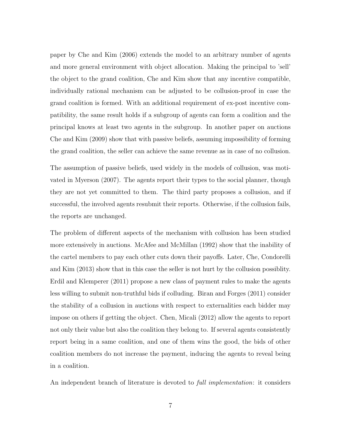paper by Che and Kim (2006) extends the model to an arbitrary number of agents and more general environment with object allocation. Making the principal to 'sell' the object to the grand coalition, Che and Kim show that any incentive compatible, individually rational mechanism can be adjusted to be collusion-proof in case the grand coalition is formed. With an additional requirement of ex-post incentive compatibility, the same result holds if a subgroup of agents can form a coalition and the principal knows at least two agents in the subgroup. In another paper on auctions Che and Kim (2009) show that with passive beliefs, assuming impossibility of forming the grand coalition, the seller can achieve the same revenue as in case of no collusion.

The assumption of passive beliefs, used widely in the models of collusion, was motivated in Myerson (2007). The agents report their types to the social planner, though they are not yet committed to them. The third party proposes a collusion, and if successful, the involved agents resubmit their reports. Otherwise, if the collusion fails, the reports are unchanged.

The problem of different aspects of the mechanism with collusion has been studied more extensively in auctions. McAfee and McMillan (1992) show that the inability of the cartel members to pay each other cuts down their payoffs. Later, Che, Condorelli and Kim (2013) show that in this case the seller is not hurt by the collusion possiblity. Erdil and Klemperer (2011) propose a new class of payment rules to make the agents less willing to submit non-truthful bids if colluding. Biran and Forges (2011) consider the stability of a collusion in auctions with respect to externalities each bidder may impose on others if getting the object. Chen, Micali (2012) allow the agents to report not only their value but also the coalition they belong to. If several agents consistently report being in a same coalition, and one of them wins the good, the bids of other coalition members do not increase the payment, inducing the agents to reveal being in a coalition.

An independent branch of literature is devoted to *full implementation*: it considers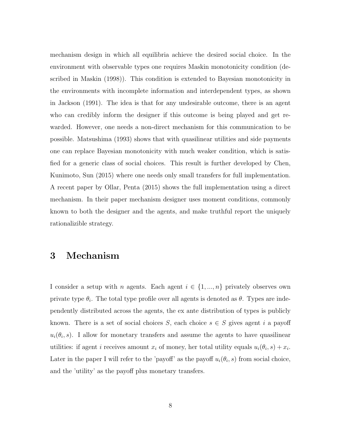mechanism design in which all equilibria achieve the desired social choice. In the environment with observable types one requires Maskin monotonicity condition (described in Maskin (1998)). This condition is extended to Bayesian monotonicity in the environments with incomplete information and interdependent types, as shown in Jackson (1991). The idea is that for any undesirable outcome, there is an agent who can credibly inform the designer if this outcome is being played and get rewarded. However, one needs a non-direct mechanism for this communication to be possible. Matsushima (1993) shows that with quasilinear utilities and side payments one can replace Bayesian monotonicity with much weaker condition, which is satisfied for a generic class of social choices. This result is further developed by Chen, Kunimoto, Sun (2015) where one needs only small transfers for full implementation. A recent paper by Ollar, Penta (2015) shows the full implementation using a direct mechanism. In their paper mechanism designer uses moment conditions, commonly known to both the designer and the agents, and make truthful report the uniquely rationalizible strategy.

# 3 Mechanism

I consider a setup with n agents. Each agent  $i \in \{1, ..., n\}$  privately observes own private type  $\theta_i$ . The total type profile over all agents is denoted as  $\theta$ . Types are independently distributed across the agents, the ex ante distribution of types is publicly known. There is a set of social choices S, each choice  $s \in S$  gives agent i a payoff  $u_i(\theta_i, s)$ . I allow for monetary transfers and assume the agents to have quasilinear utilities: if agent *i* receives amount  $x_i$  of money, her total utility equals  $u_i(\theta_i, s) + x_i$ . Later in the paper I will refer to the 'payoff' as the payoff  $u_i(\theta_i, s)$  from social choice, and the 'utility' as the payoff plus monetary transfers.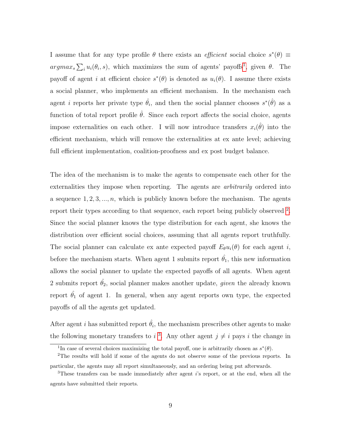I assume that for any type profile  $\theta$  there exists an *efficient* social choice  $s^*(\theta) \equiv$  $argmax_{s} \sum_{i} u_i(\theta_i, s)$ , which maximizes the sum of agents' payoffs<sup>[1](#page-9-0)</sup>, given  $\theta$ . The payoff of agent *i* at efficient choice  $s^*(\theta)$  is denoted as  $u_i(\theta)$ . I assume there exists a social planner, who implements an efficient mechanism. In the mechanism each agent *i* reports her private type  $\hat{\theta}_i$ , and then the social planner chooses  $s^*(\hat{\theta})$  as a function of total report profile  $\hat{\theta}$ . Since each report affects the social choice, agents impose externalities on each other. I will now introduce transfers  $x_i(\hat{\theta})$  into the efficient mechanism, which will remove the externalities at ex ante level; achieving full efficient implementation, coalition-proofness and ex post budget balance.

The idea of the mechanism is to make the agents to compensate each other for the externalities they impose when reporting. The agents are *arbitrarily* ordered into a sequence  $1, 2, 3, \ldots, n$ , which is publicly known before the mechanism. The agents report their types according to that sequence, each report being publicly observed <sup>[2](#page-9-1)</sup>. Since the social planner knows the type distribution for each agent, she knows the distribution over efficient social choices, assuming that all agents report truthfully. The social planner can calculate ex ante expected payoff  $E_{\theta}u_i(\theta)$  for each agent i, before the mechanism starts. When agent 1 submits report  $\hat{\theta}_1$ , this new information allows the social planner to update the expected payoffs of all agents. When agent 2 submits report  $\hat{\theta}_2$ , social planner makes another update, *given* the already known report  $\hat{\theta_1}$  of agent 1. In general, when any agent reports own type, the expected payoffs of all the agents get updated.

After agent i has submitted report  $\hat{\theta}_i$ , the mechanism prescribes other agents to make the following monetary transfers to i<sup>[3](#page-9-2)</sup>. Any other agent  $j \neq i$  pays i the change in

<span id="page-9-1"></span><span id="page-9-0"></span><sup>&</sup>lt;sup>1</sup>In case of several choices maximizing the total payoff, one is arbitrarily chosen as  $s^*(\theta)$ .

<sup>2</sup>The results will hold if some of the agents do not observe some of the previous reports. In particular, the agents may all report simultaneously, and an ordering being put afterwards.

<span id="page-9-2"></span><sup>3</sup>These transfers can be made immediately after agent i's report, or at the end, when all the agents have submitted their reports.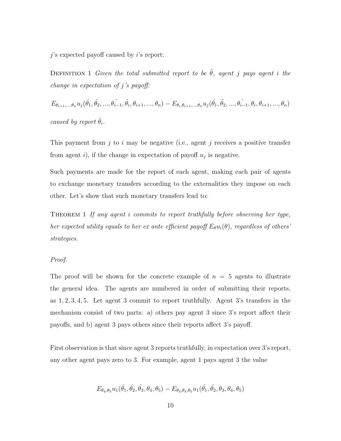<span id="page-10-1"></span> $j$ 's expected payoff caused by  $i$ 's report:

DEFINITION 1 Given the total submitted report to be  $\hat{\theta}$ , agent j pays agent i the change in expectation of j's payoff:

 $E_{\theta_{i+1}, ..., \theta_n} u_j(\hat{\theta_1}, \hat{\theta_2}, ..., \hat{\theta_{i-1}}, \hat{\theta_i}, \theta_{i+1}, ..., \theta_n) - E_{\theta_i, \theta_{i+1}, ..., \theta_n} u_j(\hat{\theta_1}, \hat{\theta_2}, ..., \hat{\theta_{i-1}}, \theta_i, \theta_{i+1}, ..., \theta_n)$ caused by report  $\hat{\theta}_i$ .

This payment from j to i may be negative (i.e., agent j receives a positive transfer from agent i), if the change in expectation of payoff  $u_j$  is negative.

Such payments are made for the report of each agent, making each pair of agents to exchange monetary transfers according to the externalities they impose on each other. Let's show that such monetary transfers lead to:

<span id="page-10-0"></span>THEOREM 1 If any agent i commits to report truthfully before observing her type, her expected utility equals to her ex ante efficient payoff  $E_{\theta}u_i(\theta)$ , regardless of others' strategies.

#### Proof.

The proof will be shown for the concrete example of  $n = 5$  agents to illustrate the general idea. The agents are numbered in order of submitting their reports, as 1, 2, 3, 4, 5. Let agent 3 commit to report truthfully. Agent 3's transfers in the mechanism consist of two parts: a) others pay agent 3 since 3's report affect their payoffs, and b) agent 3 pays others since their reports affect 3's payoff.

First observation is that since agent 3 reports truthfully, in expectation over 3's report, any other agent pays zero to 3. For example, agent 1 pays agent 3 the value

$$
E_{\theta_4,\theta_5}u_1(\hat{\theta_1},\hat{\theta_2},\hat{\theta_3},\theta_4,\theta_5)-E_{\theta_3,\theta_4,\theta_5}u_1(\hat{\theta_1},\hat{\theta_2},\theta_3,\theta_4,\theta_5)
$$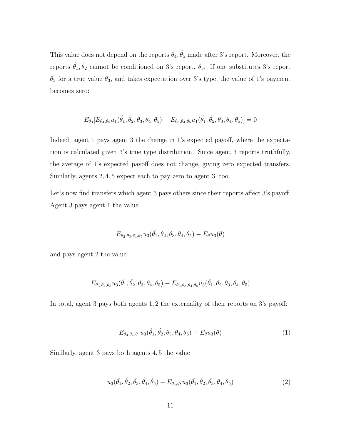This value does not depend on the reports  $\hat{\theta_4}, \hat{\theta_5}$  made after 3's report. Moreover, the reports  $\hat{\theta_1}, \hat{\theta_2}$  cannot be conditioned on 3's report,  $\hat{\theta_3}$ . If one substitutes 3's report  $\hat{\theta}_3$  for a true value  $\theta_3$ , and takes expectation over 3's type, the value of 1's payment becomes zero:

$$
E_{\theta_3}[E_{\theta_4,\theta_5}u_1(\hat{\theta_1},\hat{\theta_2},\theta_3,\theta_4,\theta_5)-E_{\theta_3,\theta_4,\theta_5}u_1(\hat{\theta_1},\hat{\theta_2},\theta_3,\theta_4,\theta_5)]=0
$$

Indeed, agent 1 pays agent 3 the change in 1's expected payoff, where the expectation is calculated given 3's true type distribution. Since agent 3 reports truthfully, the average of 1's expected payoff does not change, giving zero expected transfers. Similarly, agents 2, 4, 5 expect each to pay zero to agent 3, too.

Let's now find transfers which agent 3 pays others since their reports affect 3's payoff. Agent 3 pays agent 1 the value

$$
E_{\theta_2,\theta_3,\theta_4,\theta_5}u_3(\hat{\theta_1},\theta_2,\theta_3,\theta_4,\theta_5)-E_{\theta}u_3(\theta)
$$

and pays agent 2 the value

$$
E_{\theta_3,\theta_4,\theta_5}u_3(\hat{\theta_1},\hat{\theta_2},\theta_3,\theta_4,\theta_5)-E_{\theta_2,\theta_3,\theta_4,\theta_5}u_3(\hat{\theta_1},\theta_2,\theta_3,\theta_4,\theta_5)
$$

In total, agent 3 pays both agents 1, 2 the externality of their reports on 3's payoff:

$$
E_{\theta_3, \theta_4, \theta_5} u_3(\hat{\theta}_1, \hat{\theta}_2, \theta_3, \theta_4, \theta_5) - E_{\theta} u_3(\theta)
$$
\n(1)

Similarly, agent 3 pays both agents 4, 5 the value

$$
u_3(\hat{\theta}_1, \hat{\theta}_2, \hat{\theta}_3, \hat{\theta}_4, \hat{\theta}_5) - E_{\theta_4, \theta_5} u_3(\hat{\theta}_1, \hat{\theta}_2, \hat{\theta}_3, \theta_4, \theta_5)
$$
(2)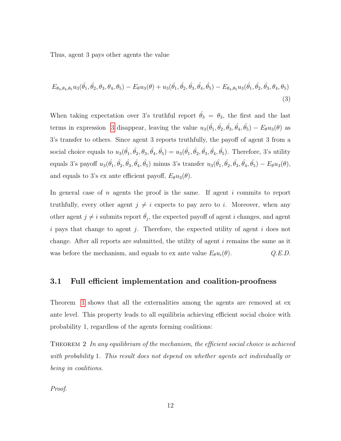<span id="page-12-0"></span>Thus, agent 3 pays other agents the value

$$
E_{\theta_3, \theta_4, \theta_5} u_3(\hat{\theta}_1, \hat{\theta}_2, \theta_3, \theta_4, \theta_5) - E_{\theta} u_3(\theta) + u_3(\hat{\theta}_1, \hat{\theta}_2, \hat{\theta}_3, \hat{\theta}_4, \hat{\theta}_5) - E_{\theta_4, \theta_5} u_3(\hat{\theta}_1, \hat{\theta}_2, \hat{\theta}_3, \theta_4, \theta_5)
$$
\n(3)

When taking expectation over 3's truthful report  $\hat{\theta}_3 = \theta_3$ , the first and the last terms in expression [3](#page-12-0) disappear, leaving the value  $u_3(\hat{\theta_1}, \hat{\theta_2}, \hat{\theta_3}, \hat{\theta_4}, \hat{\theta_5}) - E_{\theta}u_3(\theta)$  as 3's transfer to others. Since agent 3 reports truthfully, the payoff of agent 3 from a social choice equals to  $u_3(\hat{\theta_1}, \hat{\theta_2}, \theta_3, \hat{\theta_4}, \hat{\theta_5}) = u_3(\hat{\theta_1}, \hat{\theta_2}, \hat{\theta_3}, \hat{\theta_4}, \hat{\theta_5})$ . Therefore, 3's utility equals 3's payoff  $u_3(\hat{\theta_1}, \hat{\theta_2}, \hat{\theta_3}, \hat{\theta_4}, \hat{\theta_5})$  minus 3's transfer  $u_3(\hat{\theta_1}, \hat{\theta_2}, \hat{\theta_3}, \hat{\theta_4}, \hat{\theta_5}) - E_{\theta}u_3(\theta)$ , and equals to 3's ex ante efficient payoff,  $E_{\theta}u_3(\theta)$ .

In general case of n agents the proof is the same. If agent i commits to report truthfully, every other agent  $j \neq i$  expects to pay zero to i. Moreover, when any other agent  $j \neq i$  submits report  $\hat{\theta}_j$ , the expected payoff of agent i changes, and agent i pays that change to agent j. Therefore, the expected utility of agent i does not change. After all reports are submitted, the utility of agent  $i$  remains the same as it was before the mechanism, and equals to ex ante value  $E_{\theta}u_i(\theta)$ .  $Q.E.D.$ 

### 3.1 Full efficient implementation and coalition-proofness

Theorem [1](#page-10-0) shows that all the externalities among the agents are removed at ex ante level. This property leads to all equilibria achieving efficient social choice with probability 1, regardless of the agents forming coalitions:

THEOREM 2 In any equilibrium of the mechanism, the efficient social choice is achieved with probability 1. This result does not depend on whether agents act individually or being in coalitions.

Proof.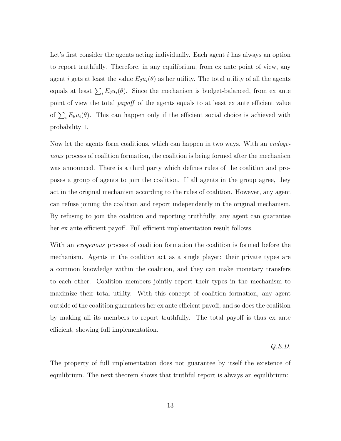Let's first consider the agents acting individually. Each agent i has always an option to report truthfully. Therefore, in any equilibrium, from ex ante point of view, any agent i gets at least the value  $E_{\theta}u_i(\theta)$  as her utility. The total utility of all the agents equals at least  $\sum_i E_{\theta} u_i(\theta)$ . Since the mechanism is budget-balanced, from ex ante point of view the total *payoff* of the agents equals to at least ex ante efficient value of  $\sum_i E_\theta u_i(\theta)$ . This can happen only if the efficient social choice is achieved with probability 1.

Now let the agents form coalitions, which can happen in two ways. With an *endoge*nous process of coalition formation, the coalition is being formed after the mechanism was announced. There is a third party which defines rules of the coalition and proposes a group of agents to join the coalition. If all agents in the group agree, they act in the original mechanism according to the rules of coalition. However, any agent can refuse joining the coalition and report independently in the original mechanism. By refusing to join the coalition and reporting truthfully, any agent can guarantee her ex ante efficient payoff. Full efficient implementation result follows.

With an *exogenous* process of coalition formation the coalition is formed before the mechanism. Agents in the coalition act as a single player: their private types are a common knowledge within the coalition, and they can make monetary transfers to each other. Coalition members jointly report their types in the mechanism to maximize their total utility. With this concept of coalition formation, any agent outside of the coalition guarantees her ex ante efficient payoff, and so does the coalition by making all its members to report truthfully. The total payoff is thus ex ante efficient, showing full implementation.

Q.E.D.

The property of full implementation does not guarantee by itself the existence of equilibrium. The next theorem shows that truthful report is always an equilibrium: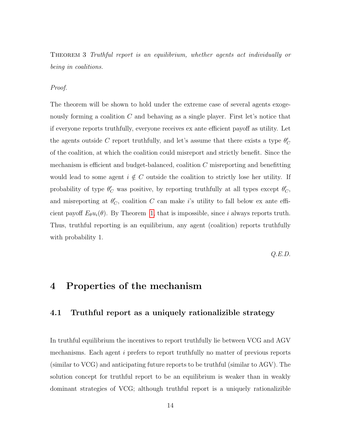THEOREM 3 Truthful report is an equilibrium, whether agents act individually or being in coalitions.

#### Proof.

The theorem will be shown to hold under the extreme case of several agents exogenously forming a coalition  $C$  and behaving as a single player. First let's notice that if everyone reports truthfully, everyone receives ex ante efficient payoff as utility. Let the agents outside C report truthfully, and let's assume that there exists a type  $\theta_C'$ of the coalition, at which the coalition could misreport and strictly benefit. Since the mechanism is efficient and budget-balanced, coalition  $C$  misreporting and benefitting would lead to some agent  $i \notin C$  outside the coalition to strictly lose her utility. If probability of type  $\theta_C'$  was positive, by reporting truthfully at all types except  $\theta_C'$ , and misreporting at  $\theta'_{\mathcal{C}}$ , coalition C can make i's utility to fall below ex ante efficient payoff  $E_{\theta}u_i(\theta)$ . By Theorem [1,](#page-10-0) that is impossible, since i always reports truth. Thus, truthful reporting is an equilibrium, any agent (coalition) reports truthfully with probability 1.

Q.E.D.

### 4 Properties of the mechanism

### 4.1 Truthful report as a uniquely rationalizible strategy

In truthful equilibrium the incentives to report truthfully lie between VCG and AGV mechanisms. Each agent i prefers to report truthfully no matter of previous reports (similar to VCG) and anticipating future reports to be truthful (similar to AGV). The solution concept for truthful report to be an equilibrium is weaker than in weakly dominant strategies of VCG; although truthful report is a uniquely rationalizible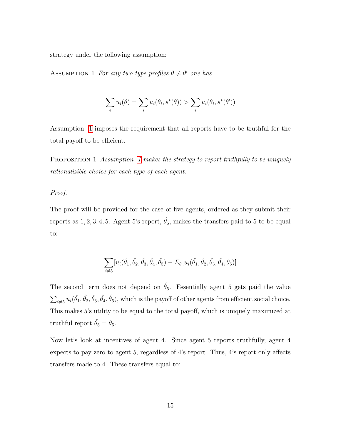<span id="page-15-0"></span>strategy under the following assumption:

ASSUMPTION 1 For any two type profiles  $\theta \neq \theta'$  one has

$$
\sum_i u_i(\theta) = \sum_i u_i(\theta_i, s^*(\theta)) > \sum_i u_i(\theta_i, s^*(\theta'))
$$

Assumption [1](#page-15-0) imposes the requirement that all reports have to be truthful for the total payoff to be efficient.

PROPOSITION [1](#page-15-0) Assumption 1 makes the strategy to report truthfully to be uniquely rationalizible choice for each type of each agent.

#### Proof.

The proof will be provided for the case of five agents, ordered as they submit their reports as 1, 2, 3, 4, 5. Agent 5's report,  $\hat{\theta}_5$ , makes the transfers paid to 5 to be equal to:

$$
\sum_{i\neq 5} [u_i(\hat{\theta_1},\hat{\theta_2},\hat{\theta_3},\hat{\theta_4},\hat{\theta_5})-E_{\theta_5}u_i(\hat{\theta_1},\hat{\theta_2},\hat{\theta_3},\hat{\theta_4},\theta_5)]
$$

The second term does not depend on  $\hat{\theta}_5$ . Essentially agent 5 gets paid the value  $\sum_{i\neq 5} u_i(\hat{\theta}_1, \hat{\theta}_2, \hat{\theta}_3, \hat{\theta}_4, \hat{\theta}_5)$ , which is the payoff of other agents from efficient social choice. This makes 5's utility to be equal to the total payoff, which is uniquely maximized at truthful report  $\hat{\theta}_5 = \theta_5$ .

Now let's look at incentives of agent 4. Since agent 5 reports truthfully, agent 4 expects to pay zero to agent 5, regardless of 4's report. Thus, 4's report only affects transfers made to 4. These transfers equal to: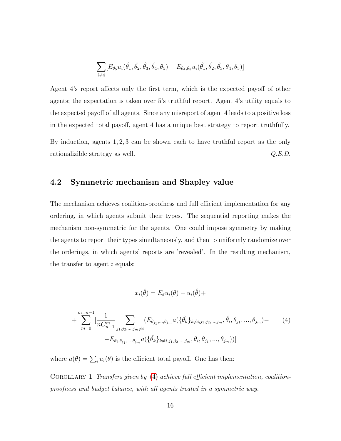$$
\sum_{i \neq 4} [E_{\theta_5} u_i(\hat{\theta}_1, \hat{\theta}_2, \hat{\theta}_3, \hat{\theta}_4, \theta_5) - E_{\theta_4, \theta_5} u_i(\hat{\theta}_1, \hat{\theta}_2, \hat{\theta}_3, \theta_4, \theta_5)]
$$

Agent 4's report affects only the first term, which is the expected payoff of other agents; the expectation is taken over 5's truthful report. Agent 4's utility equals to the expected payoff of all agents. Since any misreport of agent 4 leads to a positive loss in the expected total payoff, agent 4 has a unique best strategy to report truthfully.

By induction, agents 1, 2, 3 can be shown each to have truthful report as the only rationalizible strategy as well.  $Q.E.D.$ 

### 4.2 Symmetric mechanism and Shapley value

The mechanism achieves coalition-proofness and full efficient implementation for any ordering, in which agents submit their types. The sequential reporting makes the mechanism non-symmetric for the agents. One could impose symmetry by making the agents to report their types simultaneously, and then to uniformly randomize over the orderings, in which agents' reports are 'revealed'. In the resulting mechanism, the transfer to agent  $i$  equals:

$$
x_i(\hat{\theta}) = E_{\theta} u_i(\theta) - u_i(\hat{\theta}) +
$$

<span id="page-16-0"></span>+ 
$$
\sum_{m=0}^{m=n-1} \left[ \frac{1}{nC_{n-1}^m} \sum_{j_1, j_2, \dots, j_m \neq i} (E_{\theta_{j_1}, \dots, \theta_{j_m}} a(\{\hat{\theta_k}\}_{k \neq i, j_1, j_2, \dots, j_m}, \hat{\theta}_i, \theta_{j_1}, \dots, \theta_{j_m}) - (4) - E_{\theta_i, \theta_{j_1}, \dots, \theta_{j_m}} a(\{\hat{\theta_k}\}_{k \neq i, j_1, j_2, \dots, j_m}, \theta_i, \theta_{j_1}, \dots, \theta_{j_m})) \right]
$$

where  $a(\theta) = \sum_i u_i(\theta)$  is the efficient total payoff. One has then:

COROLLARY 1 Transfers given by [\(4\)](#page-16-0) achieve full efficient implementation, coalitionproofness and budget balance, with all agents treated in a symmetric way.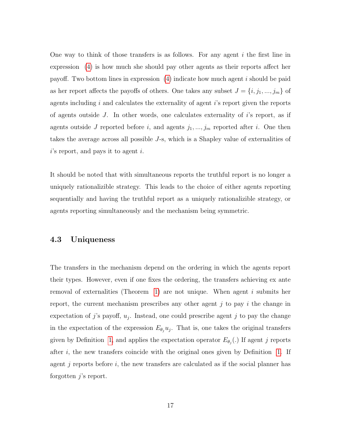One way to think of those transfers is as follows. For any agent  $i$  the first line in expression [\(4\)](#page-16-0) is how much she should pay other agents as their reports affect her payoff. Two bottom lines in expression  $(4)$  indicate how much agent i should be paid as her report affects the payoffs of others. One takes any subset  $J = \{i, j_1, ..., j_m\}$  of agents including  $i$  and calculates the externality of agent  $i$ 's report given the reports of agents outside J. In other words, one calculates externality of  $i$ 's report, as if agents outside J reported before i, and agents  $j_1, ..., j_m$  reported after i. One then takes the average across all possible J-s, which is a Shapley value of externalities of  $i$ 's report, and pays it to agent i.

It should be noted that with simultaneous reports the truthful report is no longer a uniquely rationalizible strategy. This leads to the choice of either agents reporting sequentially and having the truthful report as a uniquely rationalizible strategy, or agents reporting simultaneously and the mechanism being symmetric.

### 4.3 Uniqueness

The transfers in the mechanism depend on the ordering in which the agents report their types. However, even if one fixes the ordering, the transfers achieving ex ante removal of externalities (Theorem [1\)](#page-10-0) are not unique. When agent i submits her report, the current mechanism prescribes any other agent  $j$  to pay  $i$  the change in expectation of j's payoff,  $u_j$ . Instead, one could prescribe agent j to pay the change in the expectation of the expression  $E_{\theta_j} u_j$ . That is, one takes the original transfers given by Definition [1,](#page-10-1) and applies the expectation operator  $E_{\theta_j}$ . If agent j reports after  $i$ , the new transfers coincide with the original ones given by Definition [1.](#page-10-1) If agent j reports before  $i$ , the new transfers are calculated as if the social planner has forgotten  $j$ 's report.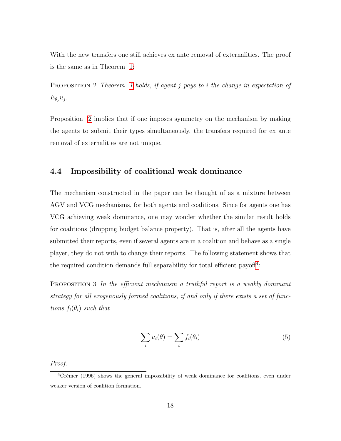With the new transfers one still achieves ex ante removal of externalities. The proof is the same as in Theorem [1:](#page-10-0)

<span id="page-18-0"></span>PROPOSITION 2 Theorem [1](#page-10-0) holds, if agent j pays to i the change in expectation of  $E_{\theta_i}u_j$ .

Proposition [2](#page-18-0) implies that if one imposes symmetry on the mechanism by making the agents to submit their types simultaneously, the transfers required for ex ante removal of externalities are not unique.

### 4.4 Impossibility of coalitional weak dominance

The mechanism constructed in the paper can be thought of as a mixture between AGV and VCG mechanisms, for both agents and coalitions. Since for agents one has VCG achieving weak dominance, one may wonder whether the similar result holds for coalitions (dropping budget balance property). That is, after all the agents have submitted their reports, even if several agents are in a coalition and behave as a single player, they do not with to change their reports. The following statement shows that the required condition demands full separability for total efficient payoff<sup>[4](#page-18-1)</sup>:

<span id="page-18-2"></span>PROPOSITION 3 In the efficient mechanism a truthful report is a weakly dominant strategy for all exogenously formed coalitions, if and only if there exists a set of functions  $f_i(\theta_i)$  such that

$$
\sum_{i} u_i(\theta) = \sum_{i} f_i(\theta_i)
$$
\n(5)

Proof.

<span id="page-18-1"></span> $4C$  rémer (1996) shows the general impossibility of weak dominance for coalitions, even under weaker version of coalition formation.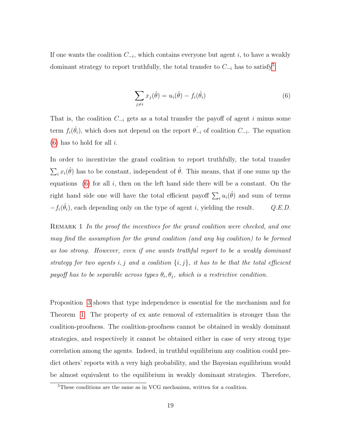<span id="page-19-1"></span>If one wants the coalition  $C_{-i}$ , which contains everyone but agent i, to have a weakly dominant strategy to report truthfully, the total transfer to  $C_{-i}$  has to satisfy<sup>[5](#page-19-0)</sup>:

$$
\sum_{j \neq i} x_j(\hat{\theta}) = u_i(\hat{\theta}) - f_i(\hat{\theta}_i)
$$
\n(6)

That is, the coalition  $C_{-i}$  gets as a total transfer the payoff of agent i minus some term  $f_i(\hat{\theta}_i)$ , which does not depend on the report  $\hat{\theta}_{-i}$  of coalition  $C_{-i}$ . The equation  $(6)$  has to hold for all i.

In order to incentivize the grand coalition to report truthfully, the total transfer  $\sum_i x_i(\hat{\theta})$  has to be constant, independent of  $\hat{\theta}$ . This means, that if one sums up the equations  $(6)$  for all i, then on the left hand side there will be a constant. On the right hand side one will have the total efficient payoff  $\sum_i u_i(\hat{\theta})$  and sum of terms  $-f_i(\hat{\theta}_i)$ , each depending only on the type of agent i, yielding the result.  $Q.E.D.$ 

REMARK 1 In the proof the incentives for the grand coalition were checked, and one may find the assumption for the grand coalition (and any big coalition) to be formed as too strong. However, even if one wants truthful report to be a weakly dominant strategy for two agents i, j and a coalition  $\{i, j\}$ , it has to be that the total efficient payoff has to be separable across types  $\theta_i, \theta_j$ , which is a restrictive condition.

Proposition [3](#page-18-2) shows that type independence is essential for the mechanism and for Theorem [1.](#page-10-0) The property of ex ante removal of externalities is stronger than the coalition-proofness. The coalition-proofness cannot be obtained in weakly dominant strategies, and respectively it cannot be obtained either in case of very strong type correlation among the agents. Indeed, in truthful equilibrium any coalition could predict others' reports with a very high probability, and the Bayesian equilibrium would be almost equivalent to the equilibrium in weakly dominant strategies. Therefore,

<span id="page-19-0"></span><sup>5</sup>These conditions are the same as in VCG mechanism, written for a coalition.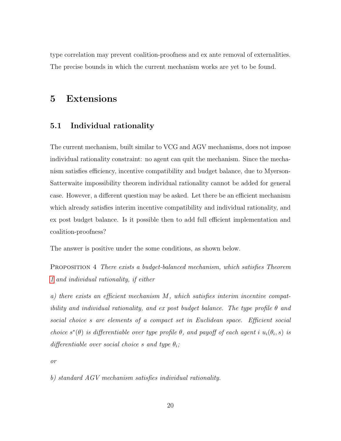type correlation may prevent coalition-proofness and ex ante removal of externalities. The precise bounds in which the current mechanism works are yet to be found.

# 5 Extensions

### 5.1 Individual rationality

The current mechanism, built similar to VCG and AGV mechanisms, does not impose individual rationality constraint: no agent can quit the mechanism. Since the mechanism satisfies efficiency, incentive compatibility and budget balance, due to Myerson-Satterwaite impossibility theorem individual rationality cannot be added for general case. However, a different question may be asked. Let there be an efficient mechanism which already satisfies interim incentive compatibility and individual rationality, and ex post budget balance. Is it possible then to add full efficient implementation and coalition-proofness?

The answer is positive under the some conditions, as shown below.

Proposition 4 There exists a budget-balanced mechanism, which satisfies Theorem [1](#page-10-0) and individual rationality, if either

a) there exists an efficient mechanism M, which satisfies interim incentive compatibility and individual rationality, and ex post budget balance. The type profile  $\theta$  and social choice s are elements of a compact set in Euclidean space. Efficient social choice  $s^*(\theta)$  is differentiable over type profile  $\theta$ , and payoff of each agent i  $u_i(\theta_i, s)$  is differentiable over social choice s and type  $\theta_i$ ;

or

b) standard AGV mechanism satisfies individual rationality.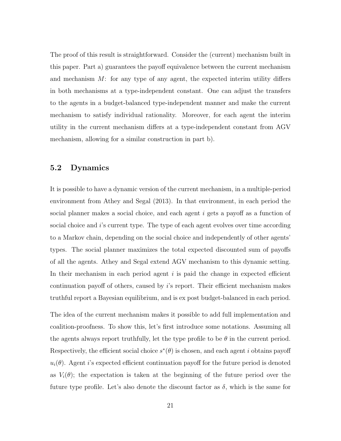The proof of this result is straightforward. Consider the (current) mechanism built in this paper. Part a) guarantees the payoff equivalence between the current mechanism and mechanism  $M$ : for any type of any agent, the expected interim utility differs in both mechanisms at a type-independent constant. One can adjust the transfers to the agents in a budget-balanced type-independent manner and make the current mechanism to satisfy individual rationality. Moreover, for each agent the interim utility in the current mechanism differs at a type-independent constant from AGV mechanism, allowing for a similar construction in part b).

### 5.2 Dynamics

It is possible to have a dynamic version of the current mechanism, in a multiple-period environment from Athey and Segal (2013). In that environment, in each period the social planner makes a social choice, and each agent i gets a payoff as a function of social choice and  $i$ 's current type. The type of each agent evolves over time according to a Markov chain, depending on the social choice and independently of other agents' types. The social planner maximizes the total expected discounted sum of payoffs of all the agents. Athey and Segal extend AGV mechanism to this dynamic setting. In their mechanism in each period agent  $i$  is paid the change in expected efficient continuation payoff of others, caused by i's report. Their efficient mechanism makes truthful report a Bayesian equilibrium, and is ex post budget-balanced in each period.

The idea of the current mechanism makes it possible to add full implementation and coalition-proofness. To show this, let's first introduce some notations. Assuming all the agents always report truthfully, let the type profile to be  $\theta$  in the current period. Respectively, the efficient social choice  $s^*(\theta)$  is chosen, and each agent *i* obtains payoff  $u_i(\theta)$ . Agent *i*'s expected efficient continuation payoff for the future period is denoted as  $V_i(\theta)$ ; the expectation is taken at the beginning of the future period over the future type profile. Let's also denote the discount factor as  $\delta$ , which is the same for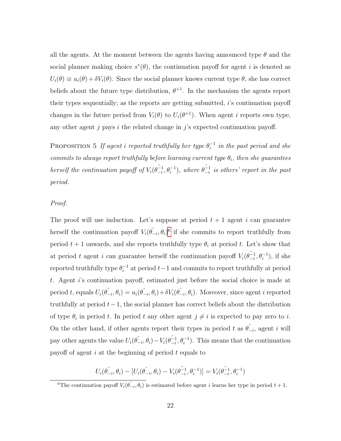all the agents. At the moment between the agents having announced type  $\theta$  and the social planner making choice  $s^*(\theta)$ , the continuation payoff for agent i is denoted as  $U_i(\theta) \equiv u_i(\theta) + \delta V_i(\theta)$ . Since the social planner knows current type  $\theta$ , she has correct beliefs about the future type distribution,  $\theta^{+1}$ . In the mechanism the agents report their types sequentially; as the reports are getting submitted, i's continuation payoff changes in the future period from  $V_i(\theta)$  to  $U_i(\theta^{+1})$ . When agent i reports own type, any other agent  $j$  pays  $i$  the related change in  $j$ 's expected continuation payoff.

PROPOSITION 5 If agent i reported truthfully her type  $\theta_i^{-1}$  $i^{-1}$  in the past period and she commits to always report truthfully before learning current type  $\theta_i$ , then she guarantees herself the continuation payoff of  $V_i(\hat{\theta}_{-i}^{-1})$  $(\hat{\theta}_i^{-1}, \theta_i^{-1}),$  where  $\hat{\theta}_{-i}^{-1}$  $\frac{-1}{-i}$  is others' report in the past period.

#### Proof.

The proof will use induction. Let's suppose at period  $t + 1$  agent i can guarantee herself the continuation payoff  $V_i(\hat{\theta}_{-i}, \theta_i)^6$  $V_i(\hat{\theta}_{-i}, \theta_i)^6$  if she commits to report truthfully from period  $t + 1$  onwards, and she reports truthfully type  $\theta_i$  at period t. Let's show that at period t agent i can guarantee herself the continuation payoff  $V_i(\hat{\theta}_{-i}^{-1})$  $\binom{-1}{i}, \theta_i^{-1}$ , if she reported truthfully type  $\theta_i^{-1}$  $i<sup>-1</sup>$  at period  $t-1$  and commits to report truthfully at period t. Agent i's continuation payoff, estimated just before the social choice is made at period t, equals  $U_i(\hat{\theta}_{-i}, \theta_i) = u_i(\hat{\theta}_{-i}, \theta_i) + \delta V_i(\hat{\theta}_{-i}, \theta_i)$ . Moreover, since agent i reported truthfully at period  $t-1$ , the social planner has correct beliefs about the distribution of type  $\theta_i$  in period t. In period t any other agent  $j \neq i$  is expected to pay zero to i. On the other hand, if other agents report their types in period t as  $\hat{\theta}_{-i}$ , agent i will pay other agents the value  $U_i(\hat{\theta}_{-i}, \theta_i) - V_i(\hat{\theta}_{-i}^{-1})$  $\begin{bmatrix} -1 \\ -i \end{bmatrix}$ . This means that the continuation payoff of agent  $i$  at the beginning of period  $t$  equals to

$$
U_i(\hat{\theta}_{-i}, \theta_i) - [U_i(\hat{\theta}_{-i}, \theta_i) - V_i(\hat{\theta}_{-i}^{-1}, \theta_i^{-1})] = V_i(\hat{\theta}_{-i}^{-1}, \theta_i^{-1})
$$

<span id="page-22-0"></span><sup>&</sup>lt;sup>6</sup>The continuation payoff  $V_i(\hat{\theta}_{-i}, \theta_i)$  is estimated before agent *i* learns her type in period  $t + 1$ .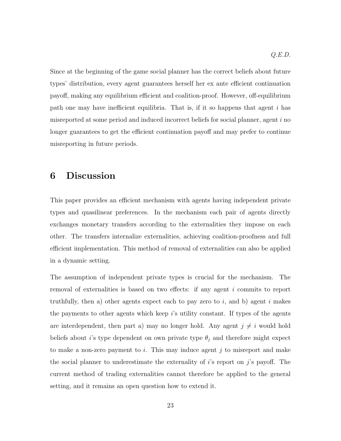Since at the beginning of the game social planner has the correct beliefs about future types' distribution, every agent guarantees herself her ex ante efficient continuation payoff, making any equilibrium efficient and coalition-proof. However, off-equilibrium path one may have inefficient equilibria. That is, if it so happens that agent  $i$  has misreported at some period and induced incorrect beliefs for social planner, agent  $i$  no longer guarantees to get the efficient continuation payoff and may prefer to continue misreporting in future periods.

# 6 Discussion

This paper provides an efficient mechanism with agents having independent private types and quasilinear preferences. In the mechanism each pair of agents directly exchanges monetary transfers according to the externalities they impose on each other. The transfers internalize externalities, achieving coalition-proofness and full efficient implementation. This method of removal of externalities can also be applied in a dynamic setting.

The assumption of independent private types is crucial for the mechanism. The removal of externalities is based on two effects: if any agent i commits to report truthfully, then a) other agents expect each to pay zero to  $i$ , and b) agent  $i$  makes the payments to other agents which keep i's utility constant. If types of the agents are interdependent, then part a) may no longer hold. Any agent  $j \neq i$  would hold beliefs about *i*'s type dependent on own private type  $\theta_j$  and therefore might expect to make a non-zero payment to i. This may induce agent j to misreport and make the social planner to underestimate the externality of  $i$ 's report on  $j$ 's payoff. The current method of trading externalities cannot therefore be applied to the general setting, and it remains an open question how to extend it.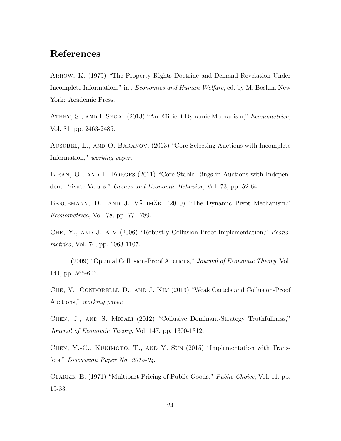# References

Arrow, K. (1979) "The Property Rights Doctrine and Demand Revelation Under Incomplete Information," in , Economics and Human Welfare, ed. by M. Boskin. New York: Academic Press.

ATHEY, S., AND I. SEGAL (2013) "An Efficient Dynamic Mechanism," Econometrica, Vol. 81, pp. 2463-2485.

Ausubel, L., and O. Baranov. (2013) "Core-Selecting Auctions with Incomplete Information," working paper.

BIRAN, O., AND F. FORGES (2011) "Core-Stable Rings in Auctions with Independent Private Values," Games and Economic Behavior, Vol. 73, pp. 52-64.

BERGEMANN, D., AND J. VÄLIMÄKI (2010) "The Dynamic Pivot Mechanism," Econometrica, Vol. 78, pp. 771-789.

Che, Y., and J. Kim (2006) "Robustly Collusion-Proof Implementation," Econometrica, Vol. 74, pp. 1063-1107.

(2009) "Optimal Collusion-Proof Auctions," *Journal of Economic Theory*, Vol. 144, pp. 565-603.

Che, Y., Condorelli, D., and J. Kim (2013) "Weak Cartels and Collusion-Proof Auctions," working paper.

Chen, J., and S. Micali (2012) "Collusive Dominant-Strategy Truthfullness," Journal of Economic Theory, Vol. 147, pp. 1300-1312.

Chen, Y.-C., Kunimoto, T., and Y. Sun (2015) "Implementation with Transfers," Discussion Paper No, 2015-04.

Clarke, E. (1971) "Multipart Pricing of Public Goods," Public Choice, Vol. 11, pp. 19-33.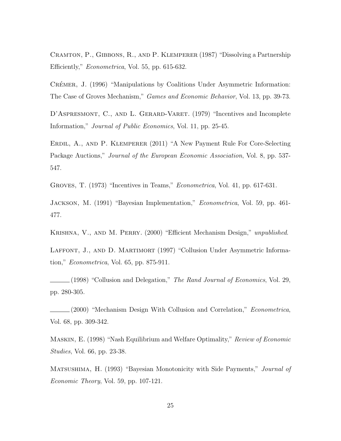Cramton, P., Gibbons, R., and P. Klemperer (1987) "Dissolving a Partnership Efficiently," Econometrica, Vol. 55, pp. 615-632.

CRÉMER, J. (1996) "Manipulations by Coalitions Under Asymmetric Information: The Case of Groves Mechanism," *Games and Economic Behavior*, Vol. 13, pp. 39-73.

D'ASPRESMONT, C., AND L. GERARD-VARET. (1979) "Incentives and Incomplete Information," Journal of Public Economics, Vol. 11, pp. 25-45.

Erdil, A., and P. Klemperer (2011) "A New Payment Rule For Core-Selecting Package Auctions," *Journal of the European Economic Association*, Vol. 8, pp. 537-547.

Groves, T. (1973) "Incentives in Teams," Econometrica, Vol. 41, pp. 617-631.

Jackson, M. (1991) "Bayesian Implementation," Econometrica, Vol. 59, pp. 461- 477.

Krishna, V., and M. Perry. (2000) "Efficient Mechanism Design," unpublished.

LAFFONT, J., AND D. MARTIMORT (1997) "Collusion Under Asymmetric Information," Econometrica, Vol. 65, pp. 875-911.

 $(1998)$  "Collusion and Delegation," The Rand Journal of Economics, Vol. 29, pp. 280-305.

 $(2000)$  "Mechanism Design With Collusion and Correlation," *Econometrica*, Vol. 68, pp. 309-342.

MASKIN, E. (1998) "Nash Equilibrium and Welfare Optimality," Review of Economic Studies, Vol. 66, pp. 23-38.

MATSUSHIMA, H. (1993) "Bayesian Monotonicity with Side Payments," *Journal of* Economic Theory, Vol. 59, pp. 107-121.